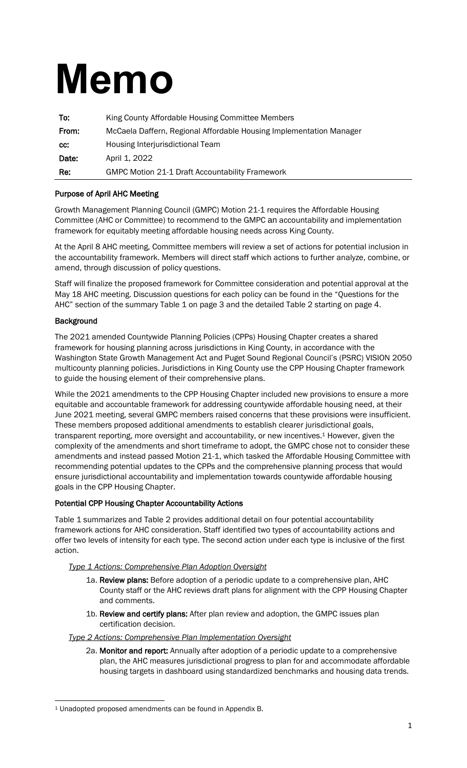# **Memo**

| To:   | King County Affordable Housing Committee Members                    |  |
|-------|---------------------------------------------------------------------|--|
| From: | McCaela Daffern, Regional Affordable Housing Implementation Manager |  |
| CC:   | Housing Interjurisdictional Team                                    |  |
| Date: | April 1, 2022                                                       |  |
| Re:   | <b>GMPC Motion 21-1 Draft Accountability Framework</b>              |  |

#### Purpose of April AHC Meeting

Growth Management Planning Council (GMPC) Motion 21-1 requires the Affordable Housing Committee (AHC or Committee) to recommend to the GMPC an accountability and implementation framework for equitably meeting affordable housing needs across King County.

At the April 8 AHC meeting, Committee members will review a set of actions for potential inclusion in the accountability framework. Members will direct staff which actions to further analyze, combine, or amend, through discussion of policy questions.

Staff will finalize the proposed framework for Committee consideration and potential approval at the May 18 AHC meeting. Discussion questions for each policy can be found in the "Questions for the AHC" section of the summary Table 1 on page 3 and the detailed Table 2 starting on page 4.

#### **Background**

The 2021 amended Countywide Planning Policies (CPPs) Housing Chapter creates a shared framework for housing planning across jurisdictions in King County, in accordance with the Washington State Growth Management Act and Puget Sound Regional Council's (PSRC) VISION 2050 multicounty planning policies. Jurisdictions in King County use the CPP Housing Chapter framework to guide the housing element of their comprehensive plans.

While the 2021 amendments to the CPP Housing Chapter included new provisions to ensure a more equitable and accountable framework for addressing countywide affordable housing need, at their June 2021 meeting, several GMPC members raised concerns that these provisions were insufficient. These members proposed additional amendments to establish clearer jurisdictional goals, transparent reporting, more oversight and accountability, or new incentives. <sup>1</sup> However, given the complexity of the amendments and short timeframe to adopt, the GMPC chose not to consider these amendments and instead passed Motion 21-1, which tasked the Affordable Housing Committee with recommending potential updates to the CPPs and the comprehensive planning process that would ensure jurisdictional accountability and implementation towards countywide affordable housing goals in the CPP Housing Chapter.

#### Potential CPP Housing Chapter Accountability Actions

Table 1 summarizes and Table 2 provides additional detail on four potential accountability framework actions for AHC consideration. Staff identified two types of accountability actions and offer two levels of intensity for each type. The second action under each type is inclusive of the first action.

#### *Type 1 Actions: Comprehensive Plan Adoption Oversight*

- 1a. Review plans: Before adoption of a periodic update to a comprehensive plan, AHC County staff or the AHC reviews draft plans for alignment with the CPP Housing Chapter and comments.
- 1b. Review and certify plans: After plan review and adoption, the GMPC issues plan certification decision.

#### *Type 2 Actions: Comprehensive Plan Implementation Oversight*

2a. Monitor and report: Annually after adoption of a periodic update to a comprehensive plan, the AHC measures jurisdictional progress to plan for and accommodate affordable housing targets in dashboard using standardized benchmarks and housing data trends.

<sup>1</sup> Unadopted proposed amendments can be found in Appendix B.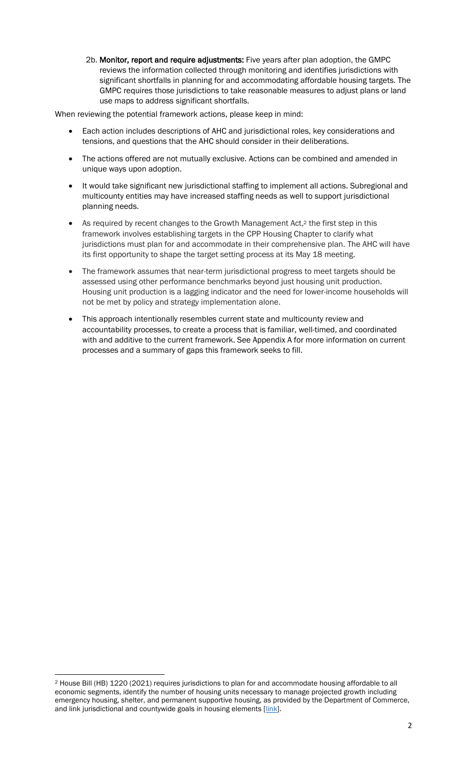2b. Monitor, report and require adjustments: Five years after plan adoption, the GMPC reviews the information collected through monitoring and identifies jurisdictions with significant shortfalls in planning for and accommodating affordable housing targets. The GMPC requires those jurisdictions to take reasonable measures to adjust plans or land use maps to address significant shortfalls.

When reviewing the potential framework actions, please keep in mind:

- Each action includes descriptions of AHC and jurisdictional roles, key considerations and tensions, and questions that the AHC should consider in their deliberations.
- The actions offered are not mutually exclusive. Actions can be combined and amended in unique ways upon adoption.
- It would take significant new jurisdictional staffing to implement all actions. Subregional and multicounty entities may have increased staffing needs as well to support jurisdictional planning needs.
- As required by recent changes to the Growth Management Act,<sup>2</sup> the first step in this framework involves establishing targets in the CPP Housing Chapter to clarify what jurisdictions must plan for and accommodate in their comprehensive plan. The AHC will have its first opportunity to shape the target setting process at its May 18 meeting.
- The framework assumes that near-term jurisdictional progress to meet targets should be assessed using other performance benchmarks beyond just housing unit production. Housing unit production is a lagging indicator and the need for lower-income households will not be met by policy and strategy implementation alone.
- This approach intentionally resembles current state and multicounty review and accountability processes, to create a process that is familiar, well-timed, and coordinated with and additive to the current framework. See Appendix A for more information on current processes and a summary of gaps this framework seeks to fill.

<sup>2</sup> House Bill (HB) 1220 (2021) requires jurisdictions to plan for and accommodate housing affordable to all economic segments, identify the number of housing units necessary to manage projected growth including emergency housing, shelter, and permanent supportive housing, as provided by the Department of Commerce, and link jurisdictional and countywide goals in housing elements [\[link\]](https://app.leg.wa.gov/billsummary?BillNumber=1220&Initiative=false&Year=2021).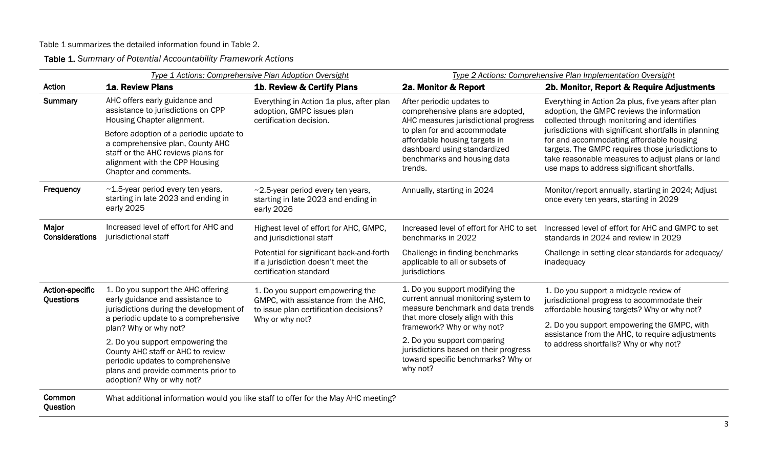Table 1 summarizes the detailed information found in Table 2.

Table 1. *Summary of Potential Accountability Framework Actions*

|                                            | Type 1 Actions: Comprehensive Plan Adoption Oversight                                                                                                                          |                                                                                                                   | Type 2 Actions: Comprehensive Plan Implementation Oversight                                                                                      |                                                                                                                                                                                                                                                                                                                                                                                                               |
|--------------------------------------------|--------------------------------------------------------------------------------------------------------------------------------------------------------------------------------|-------------------------------------------------------------------------------------------------------------------|--------------------------------------------------------------------------------------------------------------------------------------------------|---------------------------------------------------------------------------------------------------------------------------------------------------------------------------------------------------------------------------------------------------------------------------------------------------------------------------------------------------------------------------------------------------------------|
| Action                                     | <b>1a. Review Plans</b>                                                                                                                                                        | 1b. Review & Certify Plans                                                                                        | 2a. Monitor & Report                                                                                                                             | 2b. Monitor, Report & Require Adjustments                                                                                                                                                                                                                                                                                                                                                                     |
| Summary                                    | AHC offers early guidance and<br>assistance to jurisdictions on CPP<br>Housing Chapter alignment.                                                                              | Everything in Action 1a plus, after plan<br>adoption, GMPC issues plan<br>certification decision.                 | After periodic updates to<br>comprehensive plans are adopted,<br>AHC measures jurisdictional progress                                            | Everything in Action 2a plus, five years after plan<br>adoption, the GMPC reviews the information<br>collected through monitoring and identifies<br>jurisdictions with significant shortfalls in planning<br>for and accommodating affordable housing<br>targets. The GMPC requires those jurisdictions to<br>take reasonable measures to adjust plans or land<br>use maps to address significant shortfalls. |
|                                            | Before adoption of a periodic update to<br>a comprehensive plan, County AHC<br>staff or the AHC reviews plans for<br>alignment with the CPP Housing<br>Chapter and comments.   |                                                                                                                   | to plan for and accommodate<br>affordable housing targets in<br>dashboard using standardized<br>benchmarks and housing data<br>trends.           |                                                                                                                                                                                                                                                                                                                                                                                                               |
| Frequency                                  | ~1.5-year period every ten years,<br>starting in late 2023 and ending in<br>early 2025                                                                                         | ~2.5-year period every ten years,<br>starting in late 2023 and ending in<br>early 2026                            | Annually, starting in 2024                                                                                                                       | Monitor/report annually, starting in 2024; Adjust<br>once every ten years, starting in 2029                                                                                                                                                                                                                                                                                                                   |
| Major<br>Considerations                    | Increased level of effort for AHC and<br>jurisdictional staff                                                                                                                  | Highest level of effort for AHC, GMPC,<br>and jurisdictional staff                                                | Increased level of effort for AHC to set<br>benchmarks in 2022                                                                                   | Increased level of effort for AHC and GMPC to set<br>standards in 2024 and review in 2029                                                                                                                                                                                                                                                                                                                     |
|                                            |                                                                                                                                                                                | Potential for significant back-and-forth<br>if a jurisdiction doesn't meet the<br>certification standard          | Challenge in finding benchmarks<br>applicable to all or subsets of<br>jurisdictions                                                              | Challenge in setting clear standards for adequacy/<br>inadequacy                                                                                                                                                                                                                                                                                                                                              |
| <b>Action-specific</b><br><b>Questions</b> | 1. Do you support the AHC offering<br>early guidance and assistance to<br>jurisdictions during the development of<br>a periodic update to a comprehensive                      | 1. Do you support empowering the<br>GMPC, with assistance from the AHC,<br>to issue plan certification decisions? | 1. Do you support modifying the<br>current annual monitoring system to<br>measure benchmark and data trends<br>that more closely align with this | 1. Do you support a midcycle review of<br>jurisdictional progress to accommodate their<br>affordable housing targets? Why or why not?                                                                                                                                                                                                                                                                         |
|                                            | plan? Why or why not?                                                                                                                                                          | Why or why not?                                                                                                   | framework? Why or why not?                                                                                                                       | 2. Do you support empowering the GMPC, with                                                                                                                                                                                                                                                                                                                                                                   |
|                                            | 2. Do you support empowering the<br>County AHC staff or AHC to review<br>periodic updates to comprehensive<br>plans and provide comments prior to<br>adoption? Why or why not? |                                                                                                                   | 2. Do you support comparing<br>jurisdictions based on their progress<br>toward specific benchmarks? Why or<br>why not?                           | assistance from the AHC, to require adjustments<br>to address shortfalls? Why or why not?                                                                                                                                                                                                                                                                                                                     |
| Common                                     |                                                                                                                                                                                | What additional information would you like staff to offer for the May AHC meeting?                                |                                                                                                                                                  |                                                                                                                                                                                                                                                                                                                                                                                                               |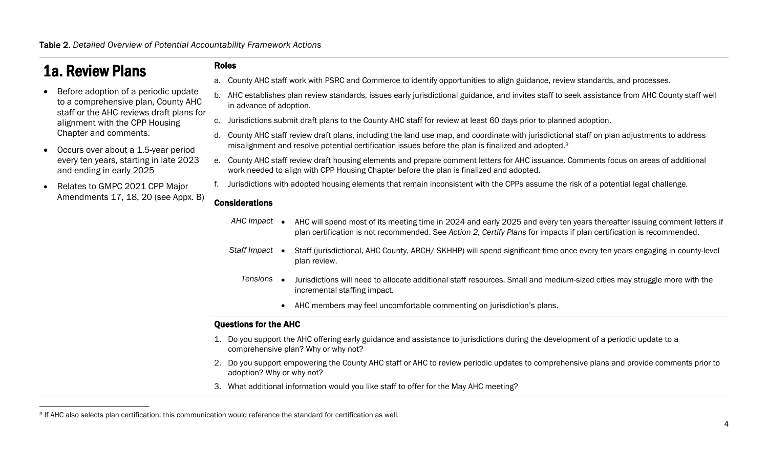# 1a. Review Plans

- Before adoption of a periodic update to a comprehensive plan, County AHC staff or the AHC reviews draft plans for alignment with the CPP Housing Chapter and comments.
- Occurs over about a 1.5-year period every ten years, starting in late 2023 and ending in early 2025
- Relates to GMPC 2021 CPP Major Amendments 17, 18, 20 (see Appx. B)

#### Roles

- a. County AHC staff work with PSRC and Commerce to identify opportunities to align guidance, review standards, and processes.
- b. AHC establishes plan review standards, issues early jurisdictional guidance, and invites staff to seek assistance from AHC County staff well in advance of adoption.
- c. Jurisdictions submit draft plans to the County AHC staff for review at least 60 days prior to planned adoption.
- d. County AHC staff review draft plans, including the land use map, and coordinate with jurisdictional staff on plan adjustments to address misalignment and resolve potential certification issues before the plan is finalized and adopted.<sup>3</sup>
- e. County AHC staff review draft housing elements and prepare comment letters for AHC issuance. Comments focus on areas of additional work needed to align with CPP Housing Chapter before the plan is finalized and adopted.
- f. Jurisdictions with adopted housing elements that remain inconsistent with the CPPs assume the risk of a potential legal challenge.

#### Considerations

- *AHC Impact* AHC will spend most of its meeting time in 2024 and early 2025 and every ten years thereafter issuing comment letters if plan certification is not recommended. See *Action 2, Certify Plans* for impacts if plan certification is recommended.
- *Staff Impact* Staff (jurisdictional, AHC County, ARCH/ SKHHP) will spend significant time once every ten years engaging in county-level plan review.
	- *Tensions* Jurisdictions will need to allocate additional staff resources. Small and medium-sized cities may struggle more with the incremental staffing impact.
		- AHC members may feel uncomfortable commenting on jurisdiction's plans.

- 1. Do you support the AHC offering early guidance and assistance to jurisdictions during the development of a periodic update to a comprehensive plan? Why or why not?
- 2. Do you support empowering the County AHC staff or AHC to review periodic updates to comprehensive plans and provide comments prior to adoption? Why or why not?
- 3. What additional information would you like staff to offer for the May AHC meeting?

<sup>3</sup> If AHC also selects plan certification, this communication would reference the standard for certification as well.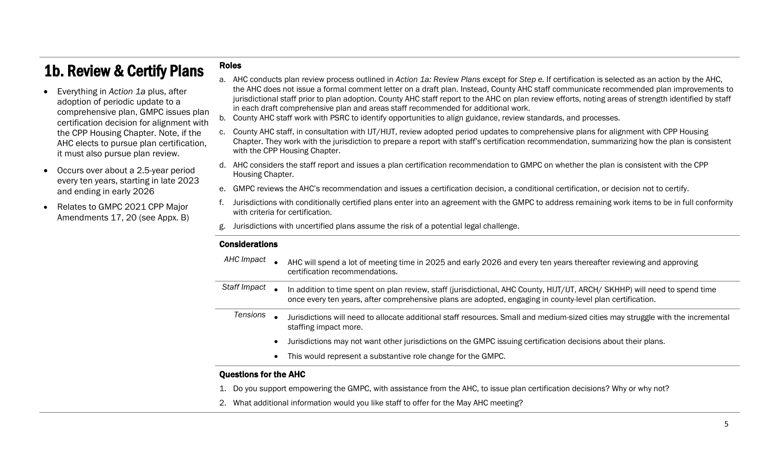# 1b. Review & Certify Plans

- Everything in *Action 1a* plus, after adoption of periodic update to a comprehensive plan, GMPC issues plan certification decision for alignment with the CPP Housing Chapter. Note, if the AHC elects to pursue plan certification, it must also pursue plan review.
- Occurs over about a 2.5-year period every ten years, starting in late 2023 and ending in early 2026
- Relates to GMPC 2021 CPP Major Amendments 17, 20 (see Appx. B)
- a. AHC conducts plan review process outlined in *Action 1a: Review Plans* except for *Step e.* If certification is selected as an action by the AHC, the AHC does not issue a formal comment letter on a draft plan. Instead, County AHC staff communicate recommended plan improvements to jurisdictional staff prior to plan adoption. County AHC staff report to the AHC on plan review efforts, noting areas of strength identified by staff in each draft comprehensive plan and areas staff recommended for additional work.
- b. County AHC staff work with PSRC to identify opportunities to align guidance, review standards, and processes.
- c. County AHC staff, in consultation with IJT/HIJT, review adopted period updates to comprehensive plans for alignment with CPP Housing Chapter. They work with the jurisdiction to prepare a report with staff's certification recommendation, summarizing how the plan is consistent with the CPP Housing Chapter.
- d. AHC considers the staff report and issues a plan certification recommendation to GMPC on whether the plan is consistent with the CPP Housing Chapter.
- e. GMPC reviews the AHC's recommendation and issues a certification decision, a conditional certification, or decision not to certify.
- f. Jurisdictions with conditionally certified plans enter into an agreement with the GMPC to address remaining work items to be in full conformity with criteria for certification.
- g. Jurisdictions with uncertified plans assume the risk of a potential legal challenge.

#### **Considerations**

Roles

- *AHC Impact* AHC will spend a lot of meeting time in 2025 and early 2026 and every ten years thereafter reviewing and approving certification recommendations.
- *Staff Impact* In addition to time spent on plan review, staff (jurisdictional, AHC County, HIJT/IJT, ARCH/ SKHHP) will need to spend time once every ten years, after comprehensive plans are adopted, engaging in county-level plan certification.
	- *Tensions* Jurisdictions will need to allocate additional staff resources. Small and medium-sized cities may struggle with the incremental staffing impact more.
		- Jurisdictions may not want other jurisdictions on the GMPC issuing certification decisions about their plans.
		- This would represent a substantive role change for the GMPC.

- 1. Do you support empowering the GMPC, with assistance from the AHC, to issue plan certification decisions? Why or why not?
- 2. What additional information would you like staff to offer for the May AHC meeting?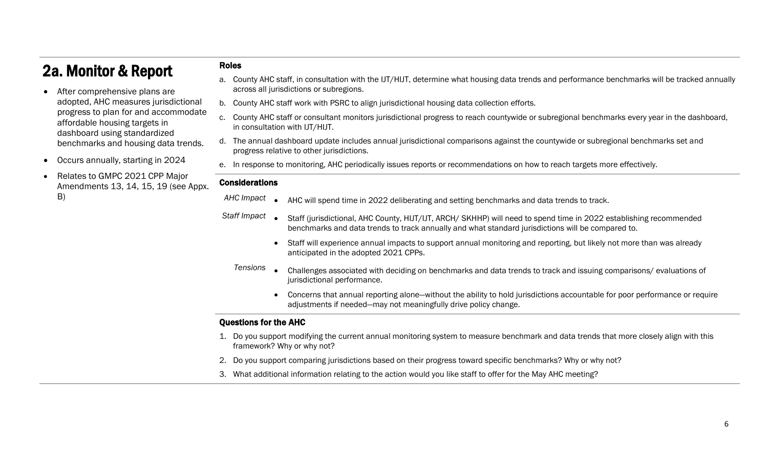## 2a. Monitor & Report

- After comprehensive plans are adopted, AHC measures jurisdictional progress to plan for and accommodate affordable housing targets in dashboard using standardized benchmarks and housing data trends.
- Occurs annually, starting in 2024
- Relates to GMPC 2021 CPP Major Amendments 13, 14, 15, 19 (see Appx. B)
- a. County AHC staff, in consultation with the IJT/HIJT, determine what housing data trends and performance benchmarks will be tracked annually across all jurisdictions or subregions.
- b. County AHC staff work with PSRC to align jurisdictional housing data collection efforts.
- c. County AHC staff or consultant monitors jurisdictional progress to reach countywide or subregional benchmarks every year in the dashboard, in consultation with IJT/HIJT.
- d. The annual dashboard update includes annual jurisdictional comparisons against the countywide or subregional benchmarks set and progress relative to other jurisdictions.
- e. In response to monitoring, AHC periodically issues reports or recommendations on how to reach targets more effectively.

#### Considerations

Roles

- *AHC Impact* AHC will spend time in 2022 deliberating and setting benchmarks and data trends to track.
- *Staff Impact* Staff (jurisdictional, AHC County, HIJT/IJT, ARCH/ SKHHP) will need to spend time in 2022 establishing recommended benchmarks and data trends to track annually and what standard jurisdictions will be compared to.
	- Staff will experience annual impacts to support annual monitoring and reporting, but likely not more than was already anticipated in the adopted 2021 CPPs.
	- *Tensions* Challenges associated with deciding on benchmarks and data trends to track and issuing comparisons/ evaluations of jurisdictional performance.
		- Concerns that annual reporting alone—without the ability to hold jurisdictions accountable for poor performance or require adjustments if needed—may not meaningfully drive policy change.

- 1. Do you support modifying the current annual monitoring system to measure benchmark and data trends that more closely align with this framework? Why or why not?
- 2. Do you support comparing jurisdictions based on their progress toward specific benchmarks? Why or why not?
- 3. What additional information relating to the action would you like staff to offer for the May AHC meeting?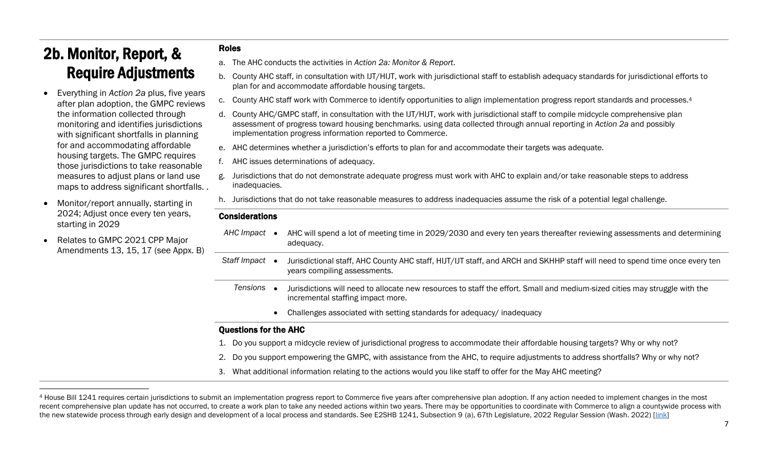# 2b. Monitor, Report, & Require Adjustments

- Everything in *Action 2a* plus, five years after plan adoption, the GMPC reviews the information collected through monitoring and identifies jurisdictions with significant shortfalls in planning for and accommodating affordable housing targets. The GMPC requires those jurisdictions to take reasonable measures to adjust plans or land use maps to address significant shortfalls. .
- Monitor/report annually, starting in 2024; Adjust once every ten years, starting in 2029
- Relates to GMPC 2021 CPP Major Amendments 13, 15, 17 (see Appx. B)

#### Roles

- a. The AHC conducts the activities in *Action 2a: Monitor & Report*.
- b. County AHC staff, in consultation with IJT/HIJT, work with jurisdictional staff to establish adequacy standards for jurisdictional efforts to plan for and accommodate affordable housing targets.
- c. County AHC staff work with Commerce to identify opportunities to align implementation progress report standards and processes.<sup>4</sup>
- d. County AHC/GMPC staff, in consultation with the IJT/HIJT, work with jurisdictional staff to compile midcycle comprehensive plan assessment of progress toward housing benchmarks. using data collected through annual reporting in *Action 2a* and possibly implementation progress information reported to Commerce.
- e. AHC determines whether a jurisdiction's efforts to plan for and accommodate their targets was adequate.
- AHC issues determinations of adequacy.
- Jurisdictions that do not demonstrate adequate progress must work with AHC to explain and/or take reasonable steps to address inadequacies.
- h. Jurisdictions that do not take reasonable measures to address inadequacies assume the risk of a potential legal challenge.

#### Considerations

- *AHC Impact* AHC will spend a lot of meeting time in 2029/2030 and every ten years thereafter reviewing assessments and determining adequacy.
- *Staff Impact* Jurisdictional staff, AHC County AHC staff, HIJT/IJT staff, and ARCH and SKHHP staff will need to spend time once every ten years compiling assessments.
	- *Tensions* Jurisdictions will need to allocate new resources to staff the effort. Small and medium-sized cities may struggle with the incremental staffing impact more.
		- Challenges associated with setting standards for adequacy/ inadequacy

- 1. Do you support a midcycle review of jurisdictional progress to accommodate their affordable housing targets? Why or why not?
- 2. Do you support empowering the GMPC, with assistance from the AHC, to require adjustments to address shortfalls? Why or why not?
- 3. What additional information relating to the actions would you like staff to offer for the May AHC meeting?

<sup>4</sup> House Bill 1241 requires certain jurisdictions to submit an implementation progress report to Commerce five years after comprehensive plan adoption. If any action needed to implement changes in the most recent comprehensive plan update has not occurred, to create a work plan to take any needed actions within two years. There may be opportunities to coordinate with Commerce to align a countywide process with the new statewide process through early design and development of a local process and standards. See E2SHB 1241, Subsection 9 (a), 67th Legislature, 2022 Regular Session (Wash. 2022) [\[link\]](https://lawfilesext.leg.wa.gov/biennium/2021-22/Pdf/Bills/House%20Passed%20Legislature/1241-S2.PL.pdf?q=20220315164302)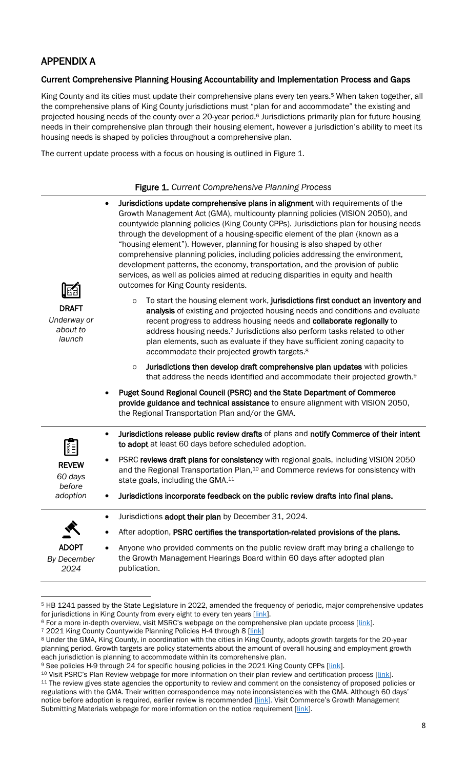## APPENDIX A

#### Current Comprehensive Planning Housing Accountability and Implementation Process and Gaps

King County and its cities must update their comprehensive plans every ten years.<sup>5</sup> When taken together, all the comprehensive plans of King County jurisdictions must "plan for and accommodate" the existing and projected housing needs of the county over a 20-year period.<sup>6</sup> Jurisdictions primarily plan for future housing needs in their comprehensive plan through their housing element, however a jurisdiction's ability to meet its housing needs is shaped by policies throughout a comprehensive plan.

The current update process with a focus on housing is outlined in Figure 1.

#### Figure 1. *Current Comprehensive Planning Process*

|                                                   | Jurisdictions update comprehensive plans in alignment with requirements of the<br>$\bullet$<br>Growth Management Act (GMA), multicounty planning policies (VISION 2050), and<br>countywide planning policies (King County CPPs). Jurisdictions plan for housing needs<br>through the development of a housing-specific element of the plan (known as a<br>"housing element"). However, planning for housing is also shaped by other<br>comprehensive planning policies, including policies addressing the environment,<br>development patterns, the economy, transportation, and the provision of public<br>services, as well as policies aimed at reducing disparities in equity and health<br>outcomes for King County residents. |  |  |  |
|---------------------------------------------------|-------------------------------------------------------------------------------------------------------------------------------------------------------------------------------------------------------------------------------------------------------------------------------------------------------------------------------------------------------------------------------------------------------------------------------------------------------------------------------------------------------------------------------------------------------------------------------------------------------------------------------------------------------------------------------------------------------------------------------------|--|--|--|
| <b>DRAFT</b><br>Underway or<br>about to<br>launch | To start the housing element work, jurisdictions first conduct an inventory and<br>$\mathsf O$<br>analysis of existing and projected housing needs and conditions and evaluate<br>recent progress to address housing needs and collaborate regionally to<br>address housing needs. <sup>7</sup> Jurisdictions also perform tasks related to other<br>plan elements, such as evaluate if they have sufficient zoning capacity to<br>accommodate their projected growth targets. <sup>8</sup>                                                                                                                                                                                                                                         |  |  |  |
|                                                   | Jurisdictions then develop draft comprehensive plan updates with policies<br>$\circ$<br>that address the needs identified and accommodate their projected growth. <sup>9</sup>                                                                                                                                                                                                                                                                                                                                                                                                                                                                                                                                                      |  |  |  |
|                                                   | Puget Sound Regional Council (PSRC) and the State Department of Commerce<br>provide guidance and technical assistance to ensure alignment with VISION 2050,<br>the Regional Transportation Plan and/or the GMA.                                                                                                                                                                                                                                                                                                                                                                                                                                                                                                                     |  |  |  |
|                                                   | Jurisdictions release public review drafts of plans and notify Commerce of their intent<br>$\bullet$<br>to adopt at least 60 days before scheduled adoption.                                                                                                                                                                                                                                                                                                                                                                                                                                                                                                                                                                        |  |  |  |
| <b>REVEW</b><br>60 days<br>before                 | PSRC reviews draft plans for consistency with regional goals, including VISION 2050<br>and the Regional Transportation Plan, <sup>10</sup> and Commerce reviews for consistency with<br>state goals, including the GMA. <sup>11</sup>                                                                                                                                                                                                                                                                                                                                                                                                                                                                                               |  |  |  |
| adoption                                          | Jurisdictions incorporate feedback on the public review drafts into final plans.<br>٠                                                                                                                                                                                                                                                                                                                                                                                                                                                                                                                                                                                                                                               |  |  |  |
|                                                   | Jurisdictions adopt their plan by December 31, 2024.<br>$\bullet$                                                                                                                                                                                                                                                                                                                                                                                                                                                                                                                                                                                                                                                                   |  |  |  |
|                                                   | After adoption, PSRC certifies the transportation-related provisions of the plans.                                                                                                                                                                                                                                                                                                                                                                                                                                                                                                                                                                                                                                                  |  |  |  |
| <b>ADOPT</b><br>By December<br>2024               | Anyone who provided comments on the public review draft may bring a challenge to<br>the Growth Management Hearings Board within 60 days after adopted plan<br>publication.                                                                                                                                                                                                                                                                                                                                                                                                                                                                                                                                                          |  |  |  |

<sup>&</sup>lt;sup>5</sup> HB 1241 passed by the State Legislature in 2022, amended the frequency of periodic, major comprehensive updates for jurisdictions in King County from every eight to every ten years [\[link\]](https://app.leg.wa.gov/billsummary?BillNumber=1241&Initiative=false&Year=2021).

<sup>&</sup>lt;sup>6</sup> For a more in-depth overview, visit MSRC's webpage on the comprehensive plan update process [[link\]](https://mrsc.org/Home/Explore-Topics/Planning/General-Planning-and-Growth-Management/GMA-Plan-Development-Regulations-Updates.aspx).

<sup>&</sup>lt;sup>7</sup> 2021 King County Countywide Planning Policies H-4 through 8 [\[link\]](https://mkcclegisearch.kingcounty.gov/View.ashx?M=F&ID=10370288&GUID=C9ED6A21-AFE7-4853-B86F-44B3429992A8)

<sup>8</sup> Under the GMA, King County, in coordination with the cities in King County, adopts growth targets for the 20-year planning period. Growth targets are policy statements about the amount of overall housing and employment growth each jurisdiction is planning to accommodate within its comprehensive plan.

<sup>9</sup> See policies H-9 through 24 for specific housing policies in the 2021 King County CPPs [\[link\]](https://mkcclegisearch.kingcounty.gov/View.ashx?M=F&ID=10370288&GUID=C9ED6A21-AFE7-4853-B86F-44B3429992A8).

<sup>&</sup>lt;sup>10</sup> Visit PSRC's Plan Review webpage for more information on their plan review and certification process [[link\]](https://www.psrc.org/our-work/plan-review). <sup>11</sup> The review gives state agencies the opportunity to review and comment on the consistency of proposed policies or regulations with the GMA. Their written correspondence may note inconsistencies with the GMA. Although 60 days' notice before adoption is required, earlier review is recommended [\[link\]](https://deptofcommerce.app.box.com/s/zr2j98zi4u6ggn3k3isl3hhyj0kevf3m). Visit Commerce's Growth Management Submitting Materials webpage for more information on the notice requirement [\[link\]](https://www.commerce.wa.gov/serving-communities/growth-management/washington-department-of-commerce-growth-management-submitting-materials/).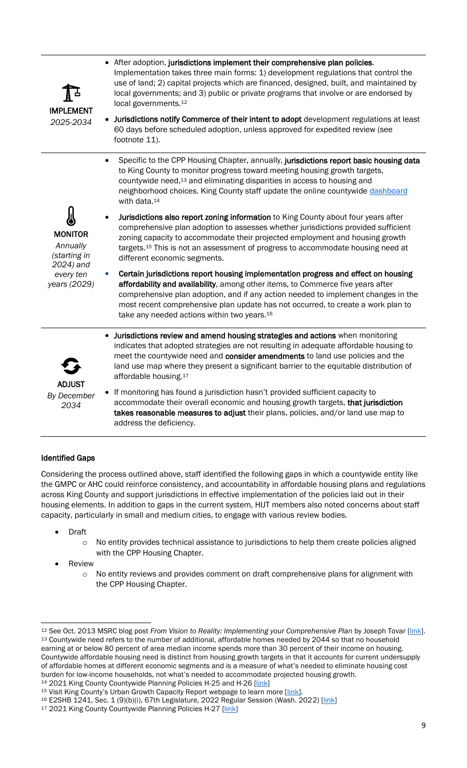| IMPLEMENT                                               | • After adoption, jurisdictions implement their comprehensive plan policies.<br>Implementation takes three main forms: 1) development regulations that control the<br>use of land; 2) capital projects which are financed, designed, built, and maintained by<br>local governments; and 3) public or private programs that involve or are endorsed by<br>local governments. <sup>12</sup>                 |
|---------------------------------------------------------|-----------------------------------------------------------------------------------------------------------------------------------------------------------------------------------------------------------------------------------------------------------------------------------------------------------------------------------------------------------------------------------------------------------|
| 2025-2034                                               | Jurisdictions notify Commerce of their intent to adopt development regulations at least<br>60 days before scheduled adoption, unless approved for expedited review (see<br>footnote 11).                                                                                                                                                                                                                  |
|                                                         | Specific to the CPP Housing Chapter, annually, jurisdictions report basic housing data<br>to King County to monitor progress toward meeting housing growth targets,<br>countywide need, <sup>13</sup> and eliminating disparities in access to housing and<br>neighborhood choices. King County staff update the online countywide dashboard<br>with data. <sup>14</sup>                                  |
| <b>MONITOR</b><br>Annually<br>(starting in<br>2024) and | Jurisdictions also report zoning information to King County about four years after<br>comprehensive plan adoption to assesses whether jurisdictions provided sufficient<br>zoning capacity to accommodate their projected employment and housing growth<br>targets. <sup>15</sup> This is not an assessment of progress to accommodate housing need at<br>different economic segments.                    |
| every ten<br>years (2029)                               | Certain jurisdictions report housing implementation progress and effect on housing<br>affordability and availability, among other items, to Commerce five years after<br>comprehensive plan adoption, and if any action needed to implement changes in the<br>most recent comprehensive plan update has not occurred, to create a work plan to<br>take any needed actions within two years. <sup>16</sup> |
| <b>ADJUST</b>                                           | • Jurisdictions review and amend housing strategies and actions when monitoring<br>indicates that adopted strategies are not resulting in adequate affordable housing to<br>meet the countywide need and consider amendments to land use policies and the<br>land use map where they present a significant barrier to the equitable distribution of<br>affordable housing. <sup>17</sup>                  |
| By December<br>2034                                     | • If monitoring has found a jurisdiction hasn't provided sufficient capacity to<br>accommodate their overall economic and housing growth targets, that jurisdiction<br>takes reasonable measures to adjust their plans, policies, and/or land use map to<br>address the deficiency.                                                                                                                       |

#### Identified Gaps

Considering the process outlined above, staff identified the following gaps in which a countywide entity like the GMPC or AHC could reinforce consistency, and accountability in affordable housing plans and regulations across King County and support jurisdictions in effective implementation of the policies laid out in their housing elements. In addition to gaps in the current system, HIJT members also noted concerns about staff capacity, particularly in small and medium cities, to engage with various review bodies.

- Draft
	- o No entity provides technical assistance to jurisdictions to help them create policies aligned with the CPP Housing Chapter.
- **Review** 
	- o No entity reviews and provides comment on draft comprehensive plans for alignment with the CPP Housing Chapter.

<sup>&</sup>lt;sup>12</sup> See Oct. 2013 MSRC blog post *From Vision to Reality: Implementing your Comprehensive Plan* by Joseph Tovar [\[link\]](https://mrsc.org/Home/Stay-Informed/MRSC-Insight/November-2013/From-Vision-to-Reality-Implementing-your-Comprehen.aspx). 13 Countywide need refers to the number of additional, affordable homes needed by 2044 so that no household earning at or below 80 percent of area median income spends more than 30 percent of their income on housing. Countywide affordable housing need is distinct from housing growth targets in that it accounts for current undersupply of affordable homes at different economic segments and is a measure of what's needed to eliminate housing cost burden for low-income households, not what's needed to accommodate projected housing growth. <sup>14</sup> 2021 King County Countywide Planning Policies H-25 and H-26 [\[link\]](https://mkcclegisearch.kingcounty.gov/View.ashx?M=F&ID=10370288&GUID=C9ED6A21-AFE7-4853-B86F-44B3429992A8)

<sup>&</sup>lt;sup>15</sup> Visit King County's Urban Growth Capacity Report webpage to learn more [\[link\]](https://kingcounty.gov/depts/executive/performance-strategy-budget/regional-planning/UrbanGrowthCapacityReport.aspx).

<sup>16</sup> E2SHB 1241, Sec. 1 (9)(b)(i), 67th Legislature, 2022 Regular Session (Wash. 2022) [\[link\]](https://lawfilesext.leg.wa.gov/biennium/2021-22/Pdf/Bills/House%20Passed%20Legislature/1241-S2.PL.pdf?q=20220315164302)

<sup>17 2021</sup> King County Countywide Planning Policies H-27 [\[link\]](https://mkcclegisearch.kingcounty.gov/View.ashx?M=F&ID=10370288&GUID=C9ED6A21-AFE7-4853-B86F-44B3429992A8)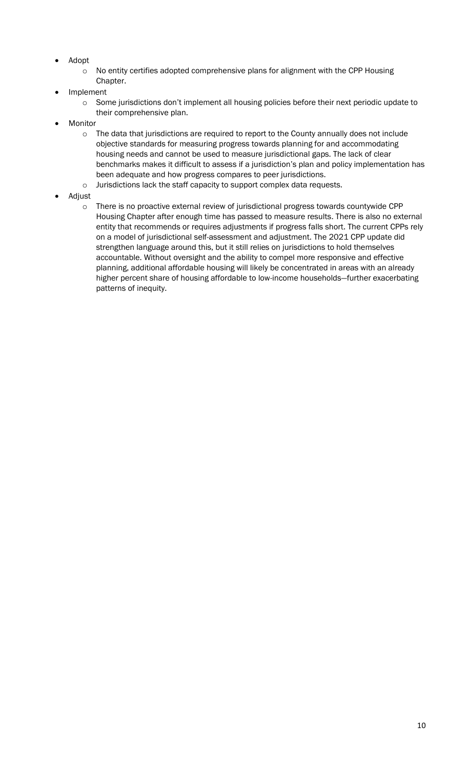- Adopt
	- o No entity certifies adopted comprehensive plans for alignment with the CPP Housing Chapter.
- **Implement** 
	- $\circ$  Some jurisdictions don't implement all housing policies before their next periodic update to their comprehensive plan.
- **Monitor** 
	- $\circ$  The data that jurisdictions are required to report to the County annually does not include objective standards for measuring progress towards planning for and accommodating housing needs and cannot be used to measure jurisdictional gaps. The lack of clear benchmarks makes it difficult to assess if a jurisdiction's plan and policy implementation has been adequate and how progress compares to peer jurisdictions.
	- o Jurisdictions lack the staff capacity to support complex data requests.
- Adjust
	- o There is no proactive external review of jurisdictional progress towards countywide CPP Housing Chapter after enough time has passed to measure results. There is also no external entity that recommends or requires adjustments if progress falls short. The current CPPs rely on a model of jurisdictional self-assessment and adjustment. The 2021 CPP update did strengthen language around this, but it still relies on jurisdictions to hold themselves accountable. Without oversight and the ability to compel more responsive and effective planning, additional affordable housing will likely be concentrated in areas with an already higher percent share of housing affordable to low-income households—further exacerbating patterns of inequity.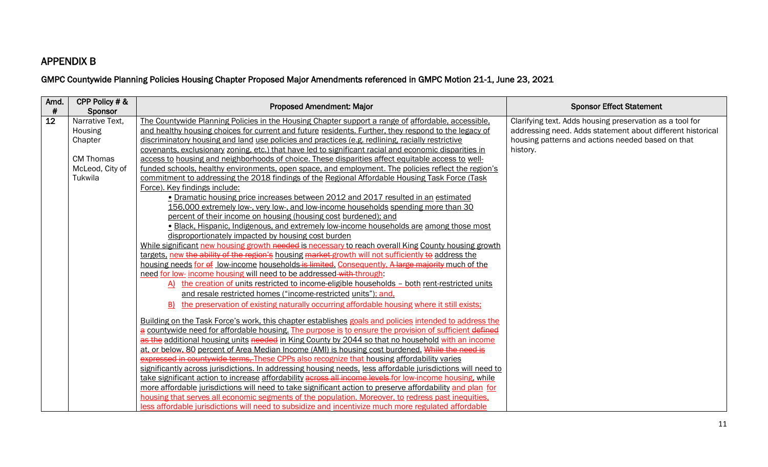### APPENDIX B

## GMPC Countywide Planning Policies Housing Chapter Proposed Major Amendments referenced in GMPC Motion 21-1, June 23, 2021

| Amd.<br>$\#$ | CPP Policy # &<br>Sponsor | <b>Proposed Amendment: Major</b>                                                                            | <b>Sponsor Effect Statement</b>                            |
|--------------|---------------------------|-------------------------------------------------------------------------------------------------------------|------------------------------------------------------------|
| 12           | Narrative Text.           | The Countywide Planning Policies in the Housing Chapter support a range of affordable, accessible,          | Clarifying text. Adds housing preservation as a tool for   |
|              | Housing                   | and healthy housing choices for current and future residents. Further, they respond to the legacy of        | addressing need. Adds statement about different historical |
|              | Chapter                   | discriminatory housing and land use policies and practices (e.g. redlining, racially restrictive            | housing patterns and actions needed based on that          |
|              |                           | covenants, exclusionary zoning, etc.) that have led to significant racial and economic disparities in       | history.                                                   |
|              | <b>CM Thomas</b>          | access to housing and neighborhoods of choice. These disparities affect equitable access to well-           |                                                            |
|              | McLeod, City of           | funded schools, healthy environments, open space, and employment. The policies reflect the region's         |                                                            |
|              | Tukwila                   | commitment to addressing the 2018 findings of the Regional Affordable Housing Task Force (Task              |                                                            |
|              |                           | Force). Key findings include:                                                                               |                                                            |
|              |                           | • Dramatic housing price increases between 2012 and 2017 resulted in an estimated                           |                                                            |
|              |                           | 156,000 extremely low-, very low-, and low-income households spending more than 30                          |                                                            |
|              |                           | percent of their income on housing (housing cost burdened); and                                             |                                                            |
|              |                           | · Black, Hispanic, Indigenous, and extremely low-income households are among those most                     |                                                            |
|              |                           | disproportionately impacted by housing cost burden                                                          |                                                            |
|              |                           | While significant new housing growth needed is necessary to reach overall King County housing growth        |                                                            |
|              |                           | targets, new the ability of the region's housing market-growth will not sufficiently to address the         |                                                            |
|              |                           | housing needs for of low-income households is limited. Consequently, A large majority much of the           |                                                            |
|              |                           | need for low- income housing will need to be addressed with through:                                        |                                                            |
|              |                           | A) the creation of units restricted to income-eligible households - both rent-restricted units              |                                                            |
|              |                           | and resale restricted homes ("income-restricted units"); and,                                               |                                                            |
|              |                           | the preservation of existing naturally occurring affordable housing where it still exists;<br>B)            |                                                            |
|              |                           | Building on the Task Force's work, this chapter establishes goals and policies intended to address the      |                                                            |
|              |                           | a countywide need for affordable housing. The purpose is to ensure the provision of sufficient defined      |                                                            |
|              |                           | as the additional housing units needed in King County by 2044 so that no household with an income           |                                                            |
|              |                           | at, or below, 80 percent of Area Median Income (AMI) is housing cost burdened. While the need is            |                                                            |
|              |                           | expressed in countywide terms. These CPPs also recognize that housing affordability varies                  |                                                            |
|              |                           | significantly across jurisdictions. In addressing housing needs, less affordable jurisdictions will need to |                                                            |
|              |                           | take significant action to increase affordability across all income levels for low-income housing, while    |                                                            |
|              |                           | more affordable jurisdictions will need to take significant action to preserve affordability and plan for   |                                                            |
|              |                           | housing that serves all economic segments of the population. Moreover, to redress past inequities,          |                                                            |
|              |                           | less affordable jurisdictions will need to subsidize and incentivize much more regulated affordable         |                                                            |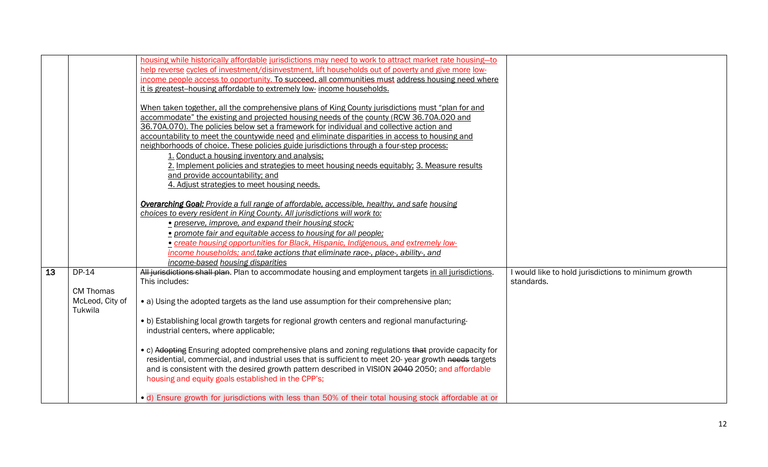|    |                  | housing while historically affordable jurisdictions may need to work to attract market rate housing-to<br>help reverse cycles of investment/disinvestment, lift households out of poverty and give more low- |                                                      |
|----|------------------|--------------------------------------------------------------------------------------------------------------------------------------------------------------------------------------------------------------|------------------------------------------------------|
|    |                  | income people access to opportunity. To succeed, all communities must address housing need where                                                                                                             |                                                      |
|    |                  | it is greatest-housing affordable to extremely low- income households.                                                                                                                                       |                                                      |
|    |                  |                                                                                                                                                                                                              |                                                      |
|    |                  | When taken together, all the comprehensive plans of King County jurisdictions must "plan for and                                                                                                             |                                                      |
|    |                  | accommodate" the existing and projected housing needs of the county (RCW 36.70A.020 and                                                                                                                      |                                                      |
|    |                  | 36.70A.070). The policies below set a framework for individual and collective action and                                                                                                                     |                                                      |
|    |                  | accountability to meet the countywide need and eliminate disparities in access to housing and                                                                                                                |                                                      |
|    |                  | neighborhoods of choice. These policies guide jurisdictions through a four-step process:                                                                                                                     |                                                      |
|    |                  | 1. Conduct a housing inventory and analysis;                                                                                                                                                                 |                                                      |
|    |                  | 2. Implement policies and strategies to meet housing needs equitably; 3. Measure results                                                                                                                     |                                                      |
|    |                  | and provide accountability; and                                                                                                                                                                              |                                                      |
|    |                  |                                                                                                                                                                                                              |                                                      |
|    |                  | 4. Adjust strategies to meet housing needs.                                                                                                                                                                  |                                                      |
|    |                  | <b>Overarching Goal:</b> Provide a full range of affordable, accessible, healthy, and safe housing                                                                                                           |                                                      |
|    |                  | choices to every resident in King County. All jurisdictions will work to:                                                                                                                                    |                                                      |
|    |                  | • preserve, improve, and expand their housing stock;                                                                                                                                                         |                                                      |
|    |                  | • promote fair and equitable access to housing for all people;                                                                                                                                               |                                                      |
|    |                  | • create housing opportunities for Black, Hispanic, Indigenous, and extremely low-                                                                                                                           |                                                      |
|    |                  | income households; and, take actions that eliminate race-, place-, ability-, and                                                                                                                             |                                                      |
|    |                  |                                                                                                                                                                                                              |                                                      |
|    |                  | income-based housing disparities                                                                                                                                                                             |                                                      |
| 13 | DP-14            | All jurisdictions shall plan. Plan to accommodate housing and employment targets in all jurisdictions.                                                                                                       | I would like to hold jurisdictions to minimum growth |
|    |                  | This includes:                                                                                                                                                                                               | standards.                                           |
|    | <b>CM Thomas</b> |                                                                                                                                                                                                              |                                                      |
|    | McLeod, City of  | • a) Using the adopted targets as the land use assumption for their comprehensive plan;                                                                                                                      |                                                      |
|    | Tukwila          |                                                                                                                                                                                                              |                                                      |
|    |                  | • b) Establishing local growth targets for regional growth centers and regional manufacturing-                                                                                                               |                                                      |
|    |                  | industrial centers, where applicable;                                                                                                                                                                        |                                                      |
|    |                  |                                                                                                                                                                                                              |                                                      |
|    |                  | • c) Adopting Ensuring adopted comprehensive plans and zoning regulations that provide capacity for                                                                                                          |                                                      |
|    |                  | residential, commercial, and industrial uses that is sufficient to meet 20-year growth needs targets                                                                                                         |                                                      |
|    |                  | and is consistent with the desired growth pattern described in VISION 2040 2050; and affordable                                                                                                              |                                                      |
|    |                  | housing and equity goals established in the CPP's;                                                                                                                                                           |                                                      |
|    |                  |                                                                                                                                                                                                              |                                                      |
|    |                  | • d) Ensure growth for jurisdictions with less than 50% of their total housing stock affordable at or                                                                                                        |                                                      |
|    |                  |                                                                                                                                                                                                              |                                                      |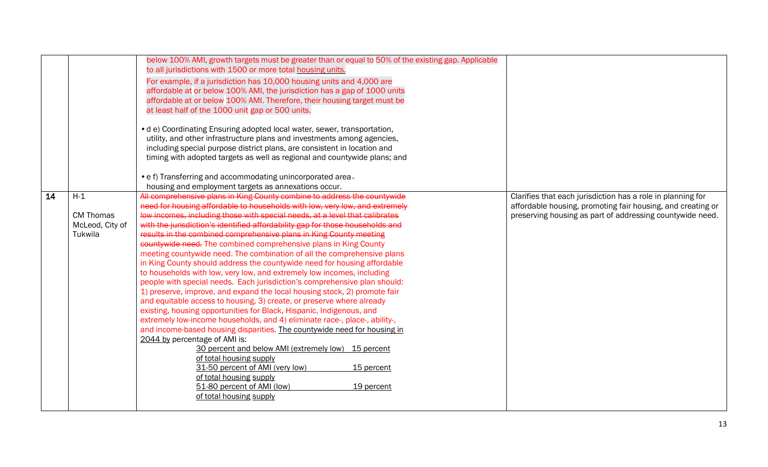|    |                  | below 100% AMI, growth targets must be greater than or equal to 50% of the existing gap. Applicable<br>to all jurisdictions with 1500 or more total housing units.<br>For example, if a jurisdiction has 10,000 housing units and 4,000 are<br>affordable at or below 100% AMI, the jurisdiction has a gap of 1000 units<br>affordable at or below 100% AMI. Therefore, their housing target must be<br>at least half of the 1000 unit gap or 500 units.<br>• d e) Coordinating Ensuring adopted local water, sewer, transportation, |                                                                                                                          |
|----|------------------|--------------------------------------------------------------------------------------------------------------------------------------------------------------------------------------------------------------------------------------------------------------------------------------------------------------------------------------------------------------------------------------------------------------------------------------------------------------------------------------------------------------------------------------|--------------------------------------------------------------------------------------------------------------------------|
|    |                  | utility, and other infrastructure plans and investments among agencies,                                                                                                                                                                                                                                                                                                                                                                                                                                                              |                                                                                                                          |
|    |                  | including special purpose district plans, are consistent in location and                                                                                                                                                                                                                                                                                                                                                                                                                                                             |                                                                                                                          |
|    |                  | timing with adopted targets as well as regional and countywide plans; and                                                                                                                                                                                                                                                                                                                                                                                                                                                            |                                                                                                                          |
|    |                  | • e f) Transferring and accommodating unincorporated area-                                                                                                                                                                                                                                                                                                                                                                                                                                                                           |                                                                                                                          |
|    |                  | housing and employment targets as annexations occur.                                                                                                                                                                                                                                                                                                                                                                                                                                                                                 |                                                                                                                          |
| 14 | $H-1$            | All comprehensive plans in King County combine to address the countywide                                                                                                                                                                                                                                                                                                                                                                                                                                                             | Clarifies that each jurisdiction has a role in planning for                                                              |
|    | <b>CM Thomas</b> | need for housing affordable to households with low, very low, and extremely<br>low incomes, including those with special needs, at a level that calibrates                                                                                                                                                                                                                                                                                                                                                                           | affordable housing, promoting fair housing, and creating or<br>preserving housing as part of addressing countywide need. |
|    | McLeod, City of  | with the jurisdiction's identified affordability gap for those households and                                                                                                                                                                                                                                                                                                                                                                                                                                                        |                                                                                                                          |
|    | Tukwila          | results in the combined comprehensive plans in King County meeting                                                                                                                                                                                                                                                                                                                                                                                                                                                                   |                                                                                                                          |
|    |                  | countywide need. The combined comprehensive plans in King County                                                                                                                                                                                                                                                                                                                                                                                                                                                                     |                                                                                                                          |
|    |                  | meeting countywide need. The combination of all the comprehensive plans                                                                                                                                                                                                                                                                                                                                                                                                                                                              |                                                                                                                          |
|    |                  | in King County should address the countywide need for housing affordable                                                                                                                                                                                                                                                                                                                                                                                                                                                             |                                                                                                                          |
|    |                  | to households with low, very low, and extremely low incomes, including                                                                                                                                                                                                                                                                                                                                                                                                                                                               |                                                                                                                          |
|    |                  | people with special needs. Each jurisdiction's comprehensive plan should:                                                                                                                                                                                                                                                                                                                                                                                                                                                            |                                                                                                                          |
|    |                  | 1) preserve, improve, and expand the local housing stock, 2) promote fair<br>and equitable access to housing, 3) create, or preserve where already                                                                                                                                                                                                                                                                                                                                                                                   |                                                                                                                          |
|    |                  | existing, housing opportunities for Black, Hispanic, Indigenous, and                                                                                                                                                                                                                                                                                                                                                                                                                                                                 |                                                                                                                          |
|    |                  | extremely low-income households, and 4) eliminate race-, place-, ability-,                                                                                                                                                                                                                                                                                                                                                                                                                                                           |                                                                                                                          |
|    |                  | and income-based housing disparities. The countywide need for housing in                                                                                                                                                                                                                                                                                                                                                                                                                                                             |                                                                                                                          |
|    |                  | 2044 by percentage of AMI is:                                                                                                                                                                                                                                                                                                                                                                                                                                                                                                        |                                                                                                                          |
|    |                  | 30 percent and below AMI (extremely low) 15 percent                                                                                                                                                                                                                                                                                                                                                                                                                                                                                  |                                                                                                                          |
|    |                  | of total housing supply<br>31-50 percent of AMI (very low)<br>15 percent                                                                                                                                                                                                                                                                                                                                                                                                                                                             |                                                                                                                          |
|    |                  | of total housing supply                                                                                                                                                                                                                                                                                                                                                                                                                                                                                                              |                                                                                                                          |
|    |                  | 51-80 percent of AMI (low)<br>19 percent                                                                                                                                                                                                                                                                                                                                                                                                                                                                                             |                                                                                                                          |
|    |                  | of total housing supply                                                                                                                                                                                                                                                                                                                                                                                                                                                                                                              |                                                                                                                          |
|    |                  |                                                                                                                                                                                                                                                                                                                                                                                                                                                                                                                                      |                                                                                                                          |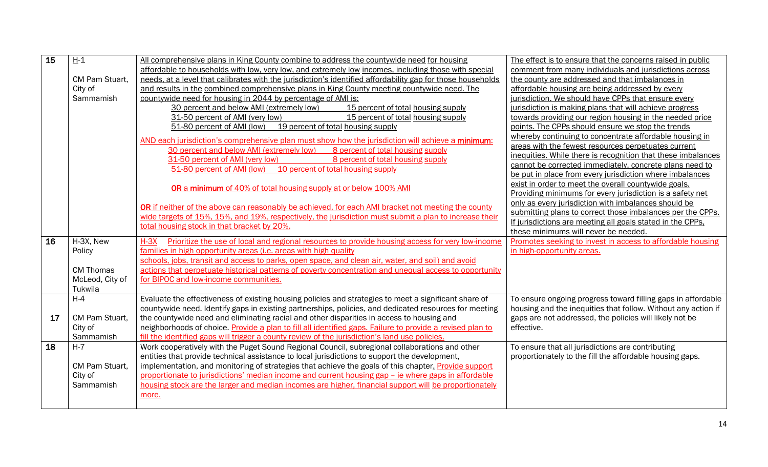| 15 | $H-1$            | All comprehensive plans in King County combine to address the countywide need for housing                   | The effect is to ensure that the concerns raised in public    |
|----|------------------|-------------------------------------------------------------------------------------------------------------|---------------------------------------------------------------|
|    |                  | affordable to households with low, very low, and extremely low incomes, including those with special        | comment from many individuals and jurisdictions across        |
|    | CM Pam Stuart,   | needs, at a level that calibrates with the jurisdiction's identified affordability gap for those households | the county are addressed and that imbalances in               |
|    | City of          | and results in the combined comprehensive plans in King County meeting countywide need. The                 | affordable housing are being addressed by every               |
|    | Sammamish        | countywide need for housing in 2044 by percentage of AMI is:                                                | jurisdiction. We should have CPPs that ensure every           |
|    |                  | 30 percent and below AMI (extremely low)<br>15 percent of total housing supply                              | jurisdiction is making plans that will achieve progress       |
|    |                  | 31-50 percent of AMI (very low)<br>15 percent of total housing supply                                       | towards providing our region housing in the needed price      |
|    |                  | 51-80 percent of AMI (low) 19 percent of total housing supply                                               | points. The CPPs should ensure we stop the trends             |
|    |                  | AND each jurisdiction's comprehensive plan must show how the jurisdiction will achieve a minimum:           | whereby continuing to concentrate affordable housing in       |
|    |                  | 30 percent and below AMI (extremely low)<br>8 percent of total housing supply                               | areas with the fewest resources perpetuates current           |
|    |                  | 31-50 percent of AMI (very low)<br>8 percent of total housing supply                                        | inequities. While there is recognition that these imbalances  |
|    |                  | 51-80 percent of AMI (low) 10 percent of total housing supply                                               | cannot be corrected immediately, concrete plans need to       |
|    |                  |                                                                                                             | be put in place from every jurisdiction where imbalances      |
|    |                  | <b>OR a minimum</b> of 40% of total housing supply at or below 100% AMI                                     | exist in order to meet the overall countywide goals.          |
|    |                  |                                                                                                             | Providing minimums for every jurisdiction is a safety net     |
|    |                  | OR if neither of the above can reasonably be achieved, for each AMI bracket not meeting the county          | only as every jurisdiction with imbalances should be          |
|    |                  | wide targets of 15%, 15%, and 19%, respectively, the jurisdiction must submit a plan to increase their      | submitting plans to correct those imbalances per the CPPs.    |
|    |                  | total housing stock in that bracket by 20%.                                                                 | If jurisdictions are meeting all goals stated in the CPPs,    |
|    |                  |                                                                                                             | these minimums will never be needed.                          |
| 16 | H-3X, New        | Prioritize the use of local and regional resources to provide housing access for very low-income<br>$H-3X$  | Promotes seeking to invest in access to affordable housing    |
|    | Policy           | families in high opportunity areas (i.e. areas with high quality                                            | in high-opportunity areas.                                    |
|    |                  | schools, jobs, transit and access to parks, open space, and clean air, water, and soil) and avoid           |                                                               |
|    | <b>CM Thomas</b> | actions that perpetuate historical patterns of poverty concentration and unequal access to opportunity      |                                                               |
|    | McLeod, City of  | for BIPOC and low-income communities.                                                                       |                                                               |
|    | Tukwila          |                                                                                                             |                                                               |
|    | $H-4$            | Evaluate the effectiveness of existing housing policies and strategies to meet a significant share of       | To ensure ongoing progress toward filling gaps in affordable  |
|    |                  | countywide need. Identify gaps in existing partnerships, policies, and dedicated resources for meeting      | housing and the inequities that follow. Without any action if |
| 17 | CM Pam Stuart,   | the countywide need and eliminating racial and other disparities in access to housing and                   | gaps are not addressed, the policies will likely not be       |
|    | City of          | neighborhoods of choice. Provide a plan to fill all identified gaps. Failure to provide a revised plan to   | effective.                                                    |
|    | Sammamish        | fill the identified gaps will trigger a county review of the jurisdiction's land use policies.              |                                                               |
| 18 | $H - 7$          | Work cooperatively with the Puget Sound Regional Council, subregional collaborations and other              | To ensure that all jurisdictions are contributing             |
|    |                  | entities that provide technical assistance to local jurisdictions to support the development,               | proportionately to the fill the affordable housing gaps.      |
|    | CM Pam Stuart.   | implementation, and monitoring of strategies that achieve the goals of this chapter. Provide support        |                                                               |
|    | City of          | proportionate to jurisdictions' median income and current housing gap – ie where gaps in affordable         |                                                               |
|    | Sammamish        | housing stock are the larger and median incomes are higher, financial support will be proportionately       |                                                               |
|    |                  | more.                                                                                                       |                                                               |
|    |                  |                                                                                                             |                                                               |